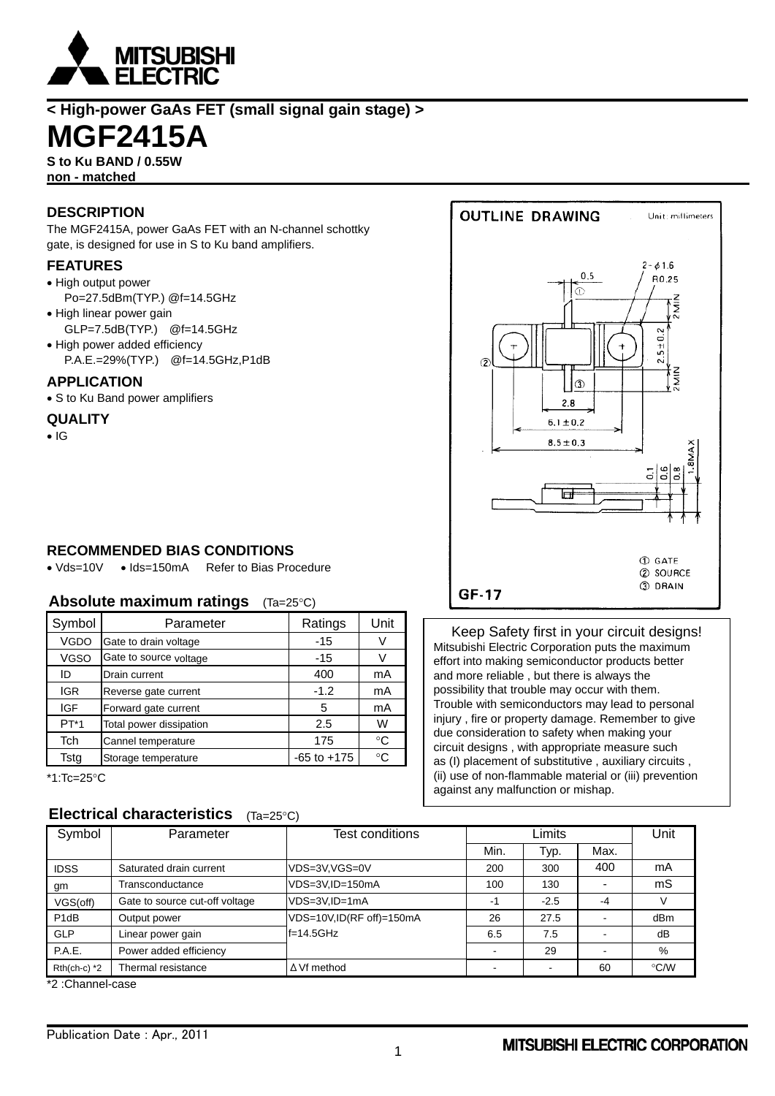

**< High-power GaAs FET (small signal gain stage) >**

# **MGF2415A**

**S to Ku BAND / 0.55W non - matched** 

# **DESCRIPTION**

The MGF2415A, power GaAs FET with an N-channel schottky gate, is designed for use in S to Ku band amplifiers.

#### **FEATURES**

- High output power
- Po=27.5dBm(TYP.) @f=14.5GHz
- High linear power gain
- GLP=7.5dB(TYP.) @f=14.5GHz
- High power added efficiency P.A.E.=29%(TYP.) @f=14.5GHz,P1dB

#### **APPLICATION**

• S to Ku Band power amplifiers

#### **QUALITY**

 $\bullet$  IG

## **RECOMMENDED BIAS CONDITIONS**

• Vds=10V • Ids=150mA Refer to Bias Procedure

#### **Absolute maximum ratings** (Ta=25°C)

| Symbol      | Parameter               | Ratings         | Unit |
|-------------|-------------------------|-----------------|------|
| VGDO        | Gate to drain voltage   | $-15$           |      |
| <b>VGSO</b> | Gate to source voltage  | $-15$           |      |
| ID          | Drain current           | 400             | mA   |
| <b>IGR</b>  | Reverse gate current    | $-1.2$          | mA   |
| <b>IGF</b>  | Forward gate current    | 5               | mA   |
| $PT*1$      | Total power dissipation | 2.5             | W    |
| Tch         | Cannel temperature      | 175             | °C   |
| Tsta        | Storage temperature     | $-65$ to $+175$ | ∘∩   |

 $*1$ :Tc=25°C

## **Electrical characteristics** (Ta=25°C)

**OUTLINE DRAWING** Unit: millimeters  $2 - 616$  $0.5$ R0.25 Ò٢  $\bar{z}$  $5 + 0.2$ l®  $2.8$  $6.1 \pm 0.2$  $8.5 \pm 0.3$ Ħ **1** GATE 2 SOURCE 3 DRAIN GF-17

Keep Safety first in your circuit designs! Mitsubishi Electric Corporation puts the maximum effort into making semiconductor products better and more reliable , but there is always the possibility that trouble may occur with them. Trouble with semiconductors may lead to personal injury , fire or property damage. Remember to give due consideration to safety when making your circuit designs , with appropriate measure such as (I) placement of substitutive , auxiliary circuits , (ii) use of non-flammable material or (iii) prevention against any malfunction or mishap.

| Symbol            | Parameter                      | Test conditions          | Limits |        | Unit |               |
|-------------------|--------------------------------|--------------------------|--------|--------|------|---------------|
|                   |                                |                          | Min.   | Typ.   | Max. |               |
| <b>IDSS</b>       | Saturated drain current        | VDS=3V,VGS=0V            | 200    | 300    | 400  | mA            |
| gm                | Transconductance               | VDS=3V,ID=150mA          | 100    | 130    |      | mS            |
| VGS(off)          | Gate to source cut-off voltage | VDS=3V.ID=1mA            | -1     | $-2.5$ | $-4$ |               |
| P <sub>1</sub> dB | Output power                   | VDS=10V,ID(RF off)=150mA | 26     | 27.5   |      | dBm           |
| GLP               | Linear power gain              | $f=14.5GHz$              | 6.5    | 7.5    |      | dB            |
| P.A.E.            | Power added efficiency         |                          |        | 29     |      | %             |
| $Rth(ch-c)$ *2    | Thermal resistance             | $\Delta Vf$ method       | -      |        | 60   | $\degree$ C/W |

\*2 :Channel-case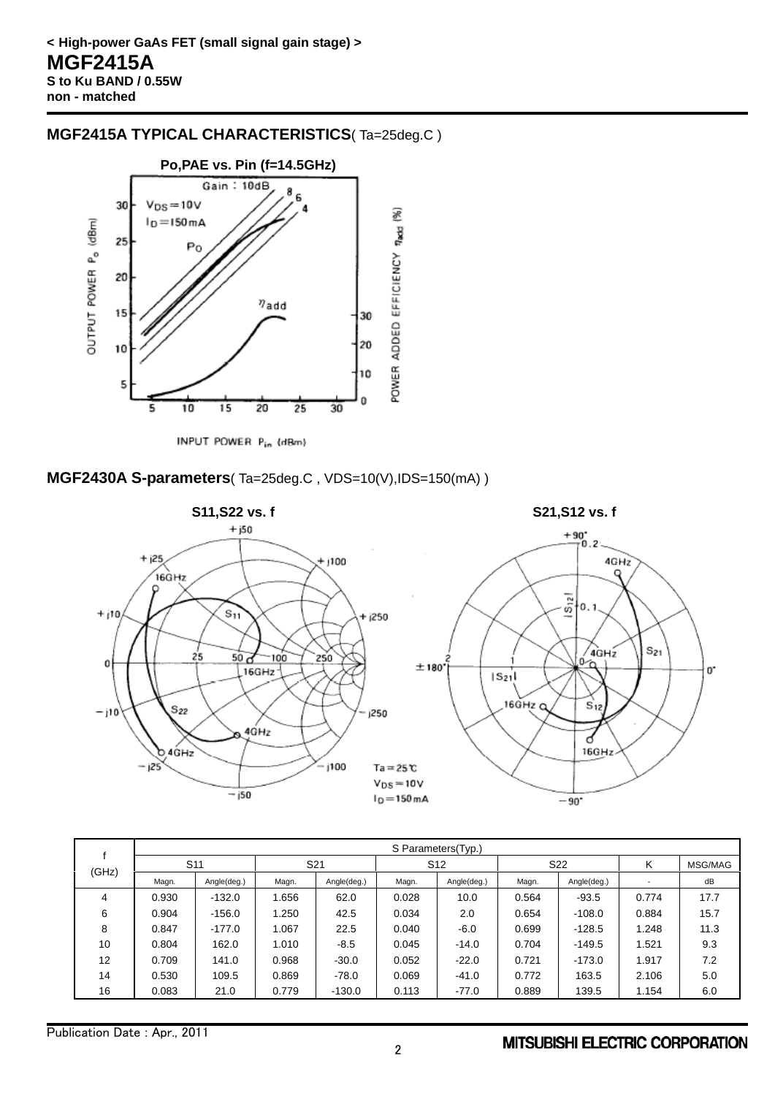### **MGF2415A TYPICAL CHARACTERISTICS**( Ta=25deg.C )



INPUT POWER Pin (dBm)

#### **MGF2430A S-parameters**( Ta=25deg.C , VDS=10(V),IDS=150(mA) )



| (GHz) | S Parameters(Typ.) |             |                 |             |                 |             |                 |             |       |         |
|-------|--------------------|-------------|-----------------|-------------|-----------------|-------------|-----------------|-------------|-------|---------|
|       | S <sub>11</sub>    |             | S <sub>21</sub> |             | S <sub>12</sub> |             | S <sub>22</sub> |             | κ     | MSG/MAG |
|       | Magn.              | Angle(deg.) | Magn.           | Angle(deg.) | Magn.           | Angle(deg.) | Magn.           | Angle(deg.) |       | dB      |
| 4     | 0.930              | $-132.0$    | .656            | 62.0        | 0.028           | 10.0        | 0.564           | $-93.5$     | 0.774 | 17.7    |
| 6     | 0.904              | $-156.0$    | .250            | 42.5        | 0.034           | 2.0         | 0.654           | $-108.0$    | 0.884 | 15.7    |
| 8     | 0.847              | $-177.0$    | 1.067           | 22.5        | 0.040           | $-6.0$      | 0.699           | $-128.5$    | 1.248 | 11.3    |
| 10    | 0.804              | 162.0       | 1.010           | $-8.5$      | 0.045           | $-14.0$     | 0.704           | $-149.5$    | 1.521 | 9.3     |
| 12    | 0.709              | 141.0       | 0.968           | $-30.0$     | 0.052           | $-22.0$     | 0.721           | $-173.0$    | 1.917 | 7.2     |
| 14    | 0.530              | 109.5       | 0.869           | $-78.0$     | 0.069           | $-41.0$     | 0.772           | 163.5       | 2.106 | 5.0     |
| 16    | 0.083              | 21.0        | 0.779           | $-130.0$    | 0.113           | $-77.0$     | 0.889           | 139.5       | 1.154 | 6.0     |

#### **MITSUBISHI ELECTRIC CORPORATION**